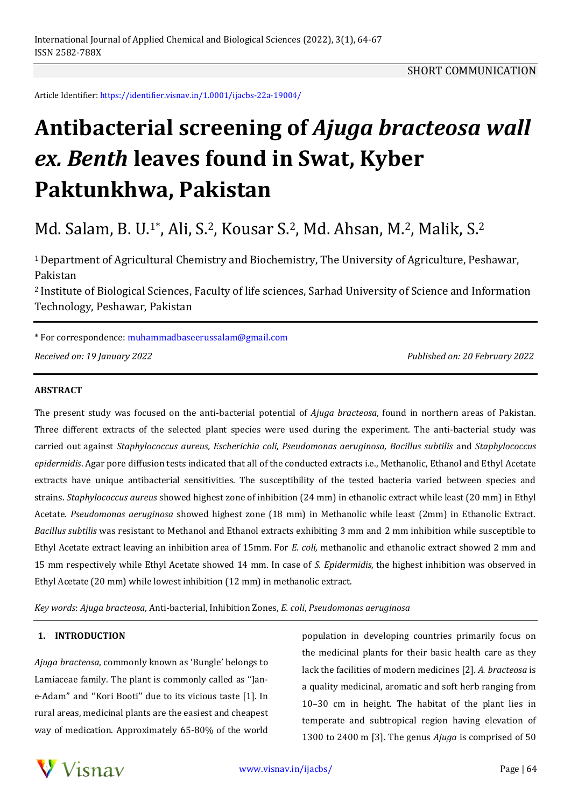Article Identifier: https://identifier.visnav.in/1.0001/ijacbs-22a-19004/

# **Antibacterial screening of** *Ajuga bracteosa wall ex. Benth* **leaves found in Swat, Kyber Paktunkhwa, Pakistan**

# Md. Salam, B. U.1\* , Ali, S.2, Kousar S.2, Md. Ahsan, M.2, Malik, S.<sup>2</sup>

<sup>1</sup>Department of Agricultural Chemistry and Biochemistry, The University of Agriculture, Peshawar, Pakistan

<sup>2</sup> Institute of Biological Sciences, Faculty of life sciences, Sarhad University of Science and Information Technology, Peshawar, Pakistan

\* For correspondence: muhammadbaseerussalam@gmail.com

*Received on: 19 January 2022 Published on: 20 February 2022*

#### **ABSTRACT**

The present study was focused on the anti-bacterial potential of *Ajuga bracteosa*, found in northern areas of Pakistan. Three different extracts of the selected plant species were used during the experiment. The anti-bacterial study was carried out against *Staphylococcus aureus, Escherichia coli, Pseudomonas aeruginosa, Bacillus subtilis* and *Staphylococcus epidermidis*. Agar pore diffusion tests indicated that all of the conducted extracts i.e., Methanolic, Ethanol and Ethyl Acetate extracts have unique antibacterial sensitivities. The susceptibility of the tested bacteria varied between species and strains. *Staphylococcus aureus* showed highest zone of inhibition (24 mm) in ethanolic extract while least (20 mm) in Ethyl Acetate. *Pseudomonas aeruginosa* showed highest zone (18 mm) in Methanolic while least (2mm) in Ethanolic Extract. *Bacillus subtilis* was resistant to Methanol and Ethanol extracts exhibiting 3 mm and 2 mm inhibition while susceptible to Ethyl Acetate extract leaving an inhibition area of 15mm. For *E. coli,* methanolic and ethanolic extract showed 2 mm and 15 mm respectively while Ethyl Acetate showed 14 mm. In case of *S. Epidermidis*, the highest inhibition was observed in Ethyl Acetate (20 mm) while lowest inhibition (12 mm) in methanolic extract.

*Key words*: *Ajuga bracteosa*, Anti-bacterial, Inhibition Zones, *E. coli*, *Pseudomonas aeruginosa*

#### **1. INTRODUCTION**

*Ajuga bracteosa*, commonly known as 'Bungle' belongs to Lamiaceae family. The plant is commonly called as ''Jane-Adam'' and ''Kori Booti'' due to its vicious taste [1]. In rural areas, medicinal plants are the easiest and cheapest way of medication. Approximately 65-80% of the world population in developing countries primarily focus on the medicinal plants for their basic health care as they lack the facilities of modern medicines [2]. *A. bracteosa* is a quality medicinal, aromatic and soft herb ranging from 10–30 cm in height. The habitat of the plant lies in temperate and subtropical region having elevation of 1300 to 2400 m [3]. The genus *Ajuga* is comprised of 50

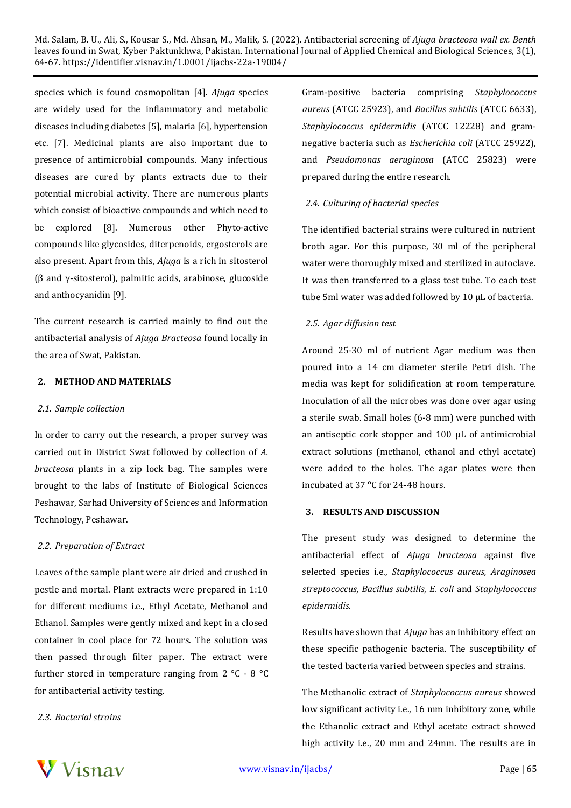Md. Salam, B. U., Ali, S., Kousar S., Md. Ahsan, M., Malik, S. (2022). Antibacterial screening of *Ajuga bracteosa wall ex. Benth* leaves found in Swat, Kyber Paktunkhwa, Pakistan. International Journal of Applied Chemical and Biological Sciences, 3(1), 64-67. https://identifier.visnav.in/1.0001/ijacbs-22a-19004/

species which is found cosmopolitan [4]. *Ajuga* species are widely used for the inflammatory and metabolic diseases including diabetes [5], malaria [6], hypertension etc. [7]. Medicinal plants are also important due to presence of antimicrobial compounds. Many infectious diseases are cured by plants extracts due to their potential microbial activity. There are numerous plants which consist of bioactive compounds and which need to be explored [8]. Numerous other Phyto-active compounds like glycosides, diterpenoids, ergosterols are also present. Apart from this, *Ajuga* is a rich in sitosterol (β and γ-sitosterol), palmitic acids, arabinose, glucoside and anthocyanidin [9].

The current research is carried mainly to find out the antibacterial analysis of *Ajuga Bracteosa* found locally in the area of Swat, Pakistan.

# **2. METHOD AND MATERIALS**

#### *2.1. Sample collection*

In order to carry out the research, a proper survey was carried out in District Swat followed by collection of *A. bracteosa* plants in a zip lock bag. The samples were brought to the labs of Institute of Biological Sciences Peshawar, Sarhad University of Sciences and Information Technology, Peshawar.

#### *2.2. Preparation of Extract*

Leaves of the sample plant were air dried and crushed in pestle and mortal. Plant extracts were prepared in 1:10 for different mediums i.e., Ethyl Acetate, Methanol and Ethanol. Samples were gently mixed and kept in a closed container in cool place for 72 hours. The solution was then passed through filter paper. The extract were further stored in temperature ranging from 2 °C - 8 °C for antibacterial activity testing.

#### *2.3. Bacterial strains*

Gram-positive bacteria comprising *Staphylococcus aureus* (ATCC 25923), and *Bacillus subtilis* (ATCC 6633), *Staphylococcus epidermidis* (ATCC 12228) and gramnegative bacteria such as *Escherichia coli* (ATCC 25922), and *Pseudomonas aeruginosa* (ATCC 25823) were prepared during the entire research.

#### *2.4. Culturing of bacterial species*

The identified bacterial strains were cultured in nutrient broth agar. For this purpose, 30 ml of the peripheral water were thoroughly mixed and sterilized in autoclave. It was then transferred to a glass test tube. To each test tube 5ml water was added followed by 10 µL of bacteria.

#### *2.5. Agar diffusion test*

Around 25-30 ml of nutrient Agar medium was then poured into a 14 cm diameter sterile Petri dish. The media was kept for solidification at room temperature. Inoculation of all the microbes was done over agar using a sterile swab. Small holes (6-8 mm) were punched with an antiseptic cork stopper and 100 µL of antimicrobial extract solutions (methanol, ethanol and ethyl acetate) were added to the holes. The agar plates were then incubated at 37 °C for 24-48 hours.

#### **3. RESULTS AND DISCUSSION**

The present study was designed to determine the antibacterial effect of *Ajuga bracteosa* against five selected species i.e., *Staphylococcus aureus, Araginosea streptococcus, Bacillus subtilis, E. coli* and *Staphylococcus epidermidis*.

Results have shown that *Ajuga* has an inhibitory effect on these specific pathogenic bacteria. The susceptibility of the tested bacteria varied between species and strains.

The Methanolic extract of *Staphylococcus aureus* showed low significant activity i.e., 16 mm inhibitory zone, while the Ethanolic extract and Ethyl acetate extract showed high activity i.e., 20 mm and 24mm. The results are in

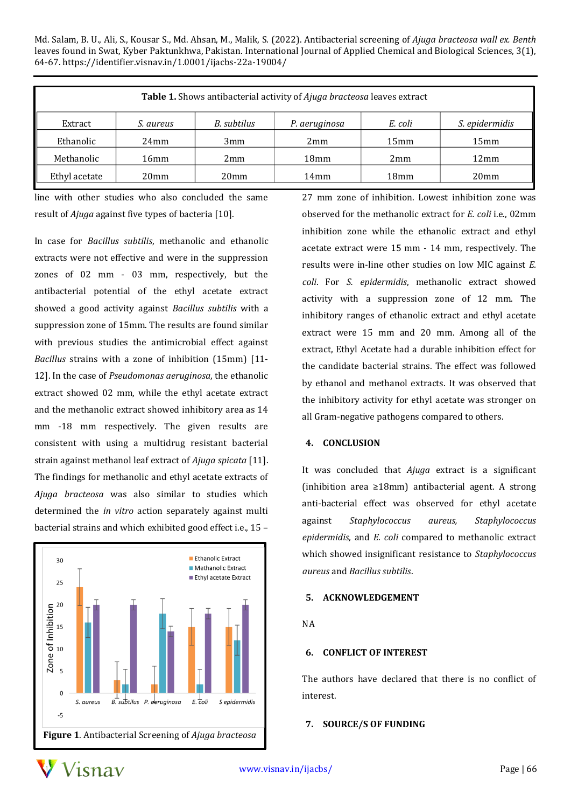Md. Salam, B. U., Ali, S., Kousar S., Md. Ahsan, M., Malik, S. (2022). Antibacterial screening of *Ajuga bracteosa wall ex. Benth* leaves found in Swat, Kyber Paktunkhwa, Pakistan. International Journal of Applied Chemical and Biological Sciences, 3(1), 64-67. https://identifier.visnav.in/1.0001/ijacbs-22a-19004/

| Table 1. Shows antibacterial activity of Ajuga bracteosa leaves extract |                  |                  |                  |                  |                       |
|-------------------------------------------------------------------------|------------------|------------------|------------------|------------------|-----------------------|
| Extract                                                                 | S. aureus        | B. subtilus      | P. aeruginosa    | E. coli          | <i>S. epidermidis</i> |
| Ethanolic                                                               | 24mm             | 3mm              | 2mm              | 15mm             | 15mm                  |
| Methanolic                                                              | 16mm             | 2mm              | 18 <sub>mm</sub> | 2mm              | 12mm                  |
| Ethyl acetate                                                           | 20 <sub>mm</sub> | 20 <sub>mm</sub> | 14mm             | 18 <sub>mm</sub> | 20 <sub>mm</sub>      |

line with other studies who also concluded the same result of *Ajuga* against five types of bacteria [10].

In case for *Bacillus subtilis*, methanolic and ethanolic extracts were not effective and were in the suppression zones of 02 mm - 03 mm, respectively, but the antibacterial potential of the ethyl acetate extract showed a good activity against *Bacillus subtilis* with a suppression zone of 15mm. The results are found similar with previous studies the antimicrobial effect against *Bacillus* strains with a zone of inhibition (15mm) [11- 12]. In the case of *Pseudomonas aeruginosa*, the ethanolic extract showed 02 mm, while the ethyl acetate extract and the methanolic extract showed inhibitory area as 14 mm -18 mm respectively. The given results are consistent with using a multidrug resistant bacterial strain against methanol leaf extract of *Ajuga spicata* [11]. The findings for methanolic and ethyl acetate extracts of *Ajuga bracteosa* was also similar to studies which determined the *in vitro* action separately against multi bacterial strains and which exhibited good effect i.e., 15 –



27 mm zone of inhibition. Lowest inhibition zone was observed for the methanolic extract for *E. coli* i.e., 02mm inhibition zone while the ethanolic extract and ethyl acetate extract were 15 mm - 14 mm, respectively. The results were in-line other studies on low MIC against *E. coli*. For *S. epidermidis*, methanolic extract showed activity with a suppression zone of 12 mm. The inhibitory ranges of ethanolic extract and ethyl acetate extract were 15 mm and 20 mm. Among all of the extract, Ethyl Acetate had a durable inhibition effect for the candidate bacterial strains. The effect was followed by ethanol and methanol extracts. It was observed that the inhibitory activity for ethyl acetate was stronger on all Gram-negative pathogens compared to others.

# **4. CONCLUSION**

It was concluded that *Ajuga* extract is a significant (inhibition area ≥18mm) antibacterial agent. A strong anti-bacterial effect was observed for ethyl acetate against *Staphylococcus aureus, Staphylococcus epidermidis,* and *E. coli* compared to methanolic extract which showed insignificant resistance to *Staphylococcus aureus* and *Bacillus subtilis*.

# **5. ACKNOWLEDGEMENT**

# NA

# **6. CONFLICT OF INTEREST**

The authors have declared that there is no conflict of interest.

# **7. SOURCE/S OF FUNDING**